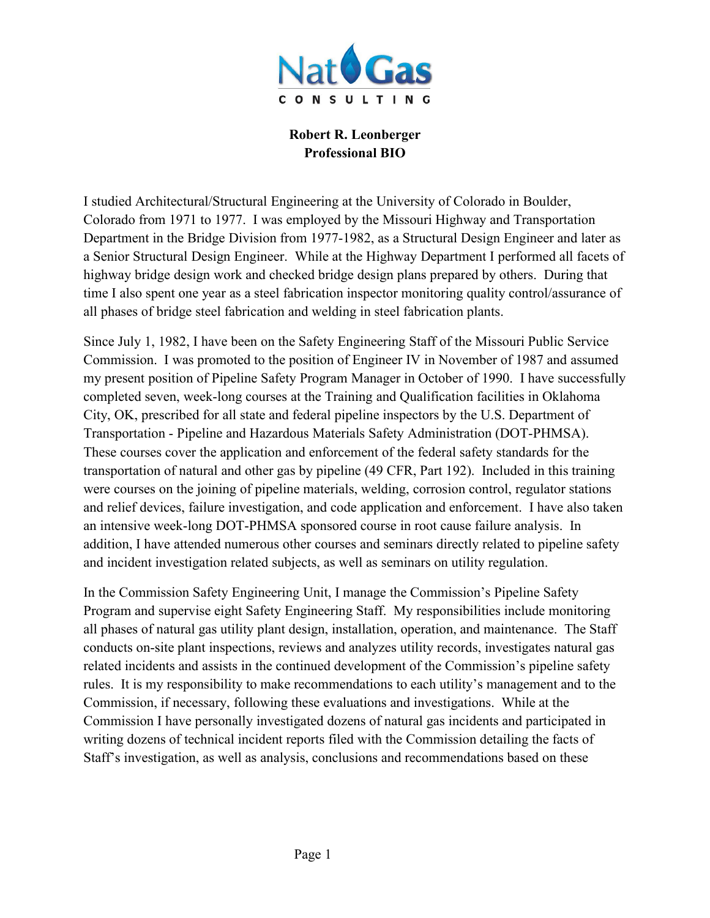

**Robert R. Leonberger Professional BIO**

I studied Architectural/Structural Engineering at the University of Colorado in Boulder, Colorado from 1971 to 1977. I was employed by the Missouri Highway and Transportation Department in the Bridge Division from 1977-1982, as a Structural Design Engineer and later as a Senior Structural Design Engineer. While at the Highway Department I performed all facets of highway bridge design work and checked bridge design plans prepared by others. During that time I also spent one year as a steel fabrication inspector monitoring quality control/assurance of all phases of bridge steel fabrication and welding in steel fabrication plants.

Since July 1, 1982, I have been on the Safety Engineering Staff of the Missouri Public Service Commission. I was promoted to the position of Engineer IV in November of 1987 and assumed my present position of Pipeline Safety Program Manager in October of 1990. I have successfully completed seven, week-long courses at the Training and Qualification facilities in Oklahoma City, OK, prescribed for all state and federal pipeline inspectors by the U.S. Department of Transportation - Pipeline and Hazardous Materials Safety Administration (DOT-PHMSA). These courses cover the application and enforcement of the federal safety standards for the transportation of natural and other gas by pipeline (49 CFR, Part 192). Included in this training were courses on the joining of pipeline materials, welding, corrosion control, regulator stations and relief devices, failure investigation, and code application and enforcement. I have also taken an intensive week-long DOT-PHMSA sponsored course in root cause failure analysis. In addition, I have attended numerous other courses and seminars directly related to pipeline safety and incident investigation related subjects, as well as seminars on utility regulation.

In the Commission Safety Engineering Unit, I manage the Commission's Pipeline Safety Program and supervise eight Safety Engineering Staff. My responsibilities include monitoring all phases of natural gas utility plant design, installation, operation, and maintenance. The Staff conducts on-site plant inspections, reviews and analyzes utility records, investigates natural gas related incidents and assists in the continued development of the Commission's pipeline safety rules. It is my responsibility to make recommendations to each utility's management and to the Commission, if necessary, following these evaluations and investigations. While at the Commission I have personally investigated dozens of natural gas incidents and participated in writing dozens of technical incident reports filed with the Commission detailing the facts of Staff's investigation, as well as analysis, conclusions and recommendations based on these